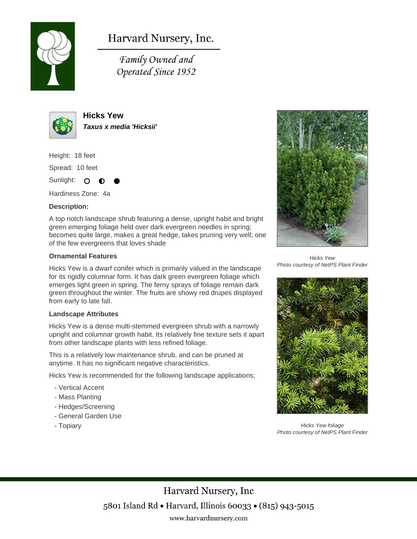

# Harvard Nursery, Inc.

Family Owned and Operated Since 1952



**Hicks Yew Taxus x media 'Hicksii'**

Height: 18 feet

Spread: 10 feet

Sunlight: O

Hardiness Zone: 4a

### **Description:**

A top notch landscape shrub featuring a dense, upright habit and bright green emerging foliage held over dark evergreen needles in spring; becomes quite large, makes a great hedge, takes pruning very well; one of the few evergreens that loves shade

#### **Ornamental Features**

Hicks Yew is a dwarf conifer which is primarily valued in the landscape for its rigidly columnar form. It has dark green evergreen foliage which emerges light green in spring. The ferny sprays of foliage remain dark green throughout the winter. The fruits are showy red drupes displayed from early to late fall.

#### **Landscape Attributes**

Hicks Yew is a dense multi-stemmed evergreen shrub with a narrowly upright and columnar growth habit. Its relatively fine texture sets it apart from other landscape plants with less refined foliage.

This is a relatively low maintenance shrub, and can be pruned at anytime. It has no significant negative characteristics.

Hicks Yew is recommended for the following landscape applications;

- Vertical Accent
- Mass Planting
- Hedges/Screening
- General Garden Use
- Topiary



Hicks Yew Photo courtesy of NetPS Plant Finder



Hicks Yew foliage Photo courtesy of NetPS Plant Finder

Harvard Nursery, Inc 5801 Island Rd • Harvard, Illinois 60033 • (815) 943-5015 www.harvardnursery.com